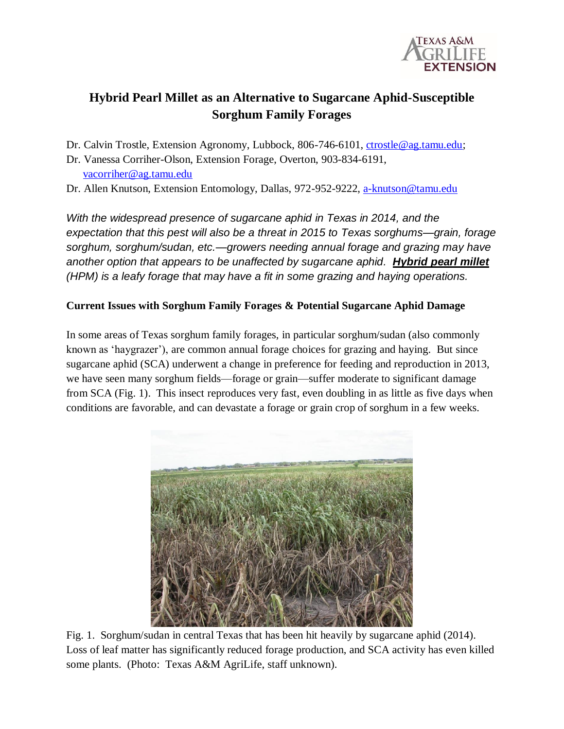

# **Hybrid Pearl Millet as an Alternative to Sugarcane Aphid-Susceptible Sorghum Family Forages**

Dr. Calvin Trostle, Extension Agronomy, Lubbock, 806-746-6101, [ctrostle@ag.tamu.edu;](mailto:ctrostle@ag.tamu.edu)

Dr. Vanessa Corriher-Olson, Extension Forage, Overton, 903-834-6191, [vacorriher@ag.tamu.edu](mailto:vacorriher@ag.tamu.edu)

Dr. Allen Knutson, Extension Entomology, Dallas, 972-952-9222, [a-knutson@tamu.edu](mailto:a-knutson@tamu.edu)

*With the widespread presence of sugarcane aphid in Texas in 2014, and the expectation that this pest will also be a threat in 2015 to Texas sorghums—grain, forage sorghum, sorghum/sudan, etc.—growers needing annual forage and grazing may have another option that appears to be unaffected by sugarcane aphid. Hybrid pearl millet (HPM) is a leafy forage that may have a fit in some grazing and haying operations.*

## **Current Issues with Sorghum Family Forages & Potential Sugarcane Aphid Damage**

In some areas of Texas sorghum family forages, in particular sorghum/sudan (also commonly known as 'haygrazer'), are common annual forage choices for grazing and haying. But since sugarcane aphid (SCA) underwent a change in preference for feeding and reproduction in 2013, we have seen many sorghum fields—forage or grain—suffer moderate to significant damage from SCA (Fig. 1). This insect reproduces very fast, even doubling in as little as five days when conditions are favorable, and can devastate a forage or grain crop of sorghum in a few weeks.



Fig. 1. Sorghum/sudan in central Texas that has been hit heavily by sugarcane aphid (2014). Loss of leaf matter has significantly reduced forage production, and SCA activity has even killed some plants. (Photo: Texas A&M AgriLife, staff unknown).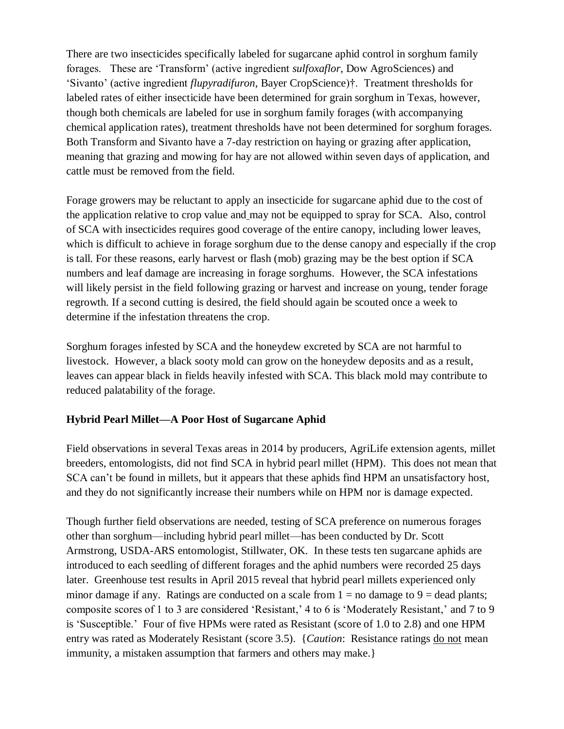There are two insecticides specifically labeled for sugarcane aphid control in sorghum family forages. These are 'Transform' (active ingredient *sulfoxaflor*, Dow AgroSciences) and 'Sivanto' (active ingredient *flupyradifuron*, Bayer CropScience)†. Treatment thresholds for labeled rates of either insecticide have been determined for grain sorghum in Texas, however, though both chemicals are labeled for use in sorghum family forages (with accompanying chemical application rates), treatment thresholds have not been determined for sorghum forages. Both Transform and Sivanto have a 7-day restriction on haying or grazing after application, meaning that grazing and mowing for hay are not allowed within seven days of application, and cattle must be removed from the field.

Forage growers may be reluctant to apply an insecticide for sugarcane aphid due to the cost of the application relative to crop value and may not be equipped to spray for SCA. Also, control of SCA with insecticides requires good coverage of the entire canopy, including lower leaves, which is difficult to achieve in forage sorghum due to the dense canopy and especially if the crop is tall. For these reasons, early harvest or flash (mob) grazing may be the best option if SCA numbers and leaf damage are increasing in forage sorghums. However, the SCA infestations will likely persist in the field following grazing or harvest and increase on young, tender forage regrowth. If a second cutting is desired, the field should again be scouted once a week to determine if the infestation threatens the crop.

Sorghum forages infested by SCA and the honeydew excreted by SCA are not harmful to livestock. However, a black sooty mold can grow on the honeydew deposits and as a result, leaves can appear black in fields heavily infested with SCA. This black mold may contribute to reduced palatability of the forage.

### **Hybrid Pearl Millet—A Poor Host of Sugarcane Aphid**

Field observations in several Texas areas in 2014 by producers, AgriLife extension agents, millet breeders, entomologists, did not find SCA in hybrid pearl millet (HPM). This does not mean that SCA can't be found in millets, but it appears that these aphids find HPM an unsatisfactory host, and they do not significantly increase their numbers while on HPM nor is damage expected.

Though further field observations are needed, testing of SCA preference on numerous forages other than sorghum—including hybrid pearl millet—has been conducted by Dr. Scott Armstrong, USDA-ARS entomologist, Stillwater, OK. In these tests ten sugarcane aphids are introduced to each seedling of different forages and the aphid numbers were recorded 25 days later. Greenhouse test results in April 2015 reveal that hybrid pearl millets experienced only minor damage if any. Ratings are conducted on a scale from  $1 =$  no damage to  $9 =$  dead plants; composite scores of 1 to 3 are considered 'Resistant,' 4 to 6 is 'Moderately Resistant,' and 7 to 9 is 'Susceptible.' Four of five HPMs were rated as Resistant (score of 1.0 to 2.8) and one HPM entry was rated as Moderately Resistant (score 3.5). {*Caution*: Resistance ratings do not mean immunity, a mistaken assumption that farmers and others may make.}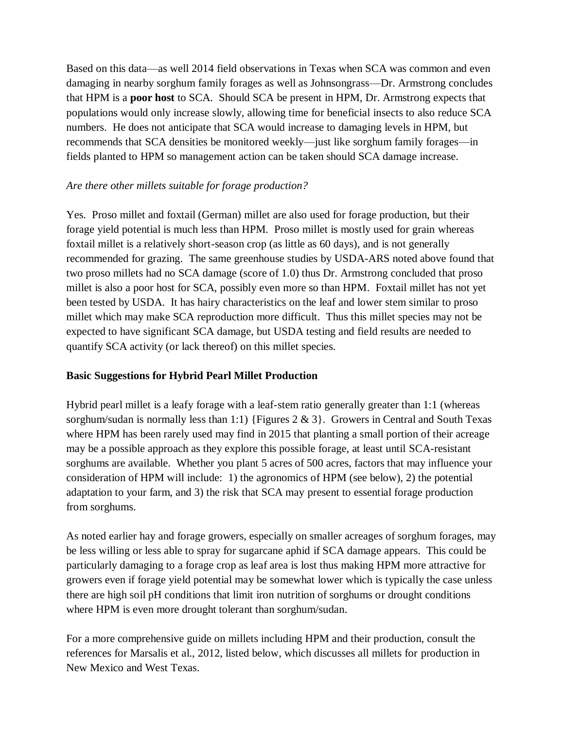Based on this data—as well 2014 field observations in Texas when SCA was common and even damaging in nearby sorghum family forages as well as Johnsongrass—Dr. Armstrong concludes that HPM is a **poor host** to SCA. Should SCA be present in HPM, Dr. Armstrong expects that populations would only increase slowly, allowing time for beneficial insects to also reduce SCA numbers. He does not anticipate that SCA would increase to damaging levels in HPM, but recommends that SCA densities be monitored weekly—just like sorghum family forages—in fields planted to HPM so management action can be taken should SCA damage increase.

### *Are there other millets suitable for forage production?*

Yes. Proso millet and foxtail (German) millet are also used for forage production, but their forage yield potential is much less than HPM. Proso millet is mostly used for grain whereas foxtail millet is a relatively short-season crop (as little as 60 days), and is not generally recommended for grazing. The same greenhouse studies by USDA-ARS noted above found that two proso millets had no SCA damage (score of 1.0) thus Dr. Armstrong concluded that proso millet is also a poor host for SCA, possibly even more so than HPM. Foxtail millet has not yet been tested by USDA. It has hairy characteristics on the leaf and lower stem similar to proso millet which may make SCA reproduction more difficult. Thus this millet species may not be expected to have significant SCA damage, but USDA testing and field results are needed to quantify SCA activity (or lack thereof) on this millet species.

### **Basic Suggestions for Hybrid Pearl Millet Production**

Hybrid pearl millet is a leafy forage with a leaf-stem ratio generally greater than 1:1 (whereas sorghum/sudan is normally less than 1:1) {Figures 2 & 3}. Growers in Central and South Texas where HPM has been rarely used may find in 2015 that planting a small portion of their acreage may be a possible approach as they explore this possible forage, at least until SCA-resistant sorghums are available. Whether you plant 5 acres of 500 acres, factors that may influence your consideration of HPM will include: 1) the agronomics of HPM (see below), 2) the potential adaptation to your farm, and 3) the risk that SCA may present to essential forage production from sorghums.

As noted earlier hay and forage growers, especially on smaller acreages of sorghum forages, may be less willing or less able to spray for sugarcane aphid if SCA damage appears. This could be particularly damaging to a forage crop as leaf area is lost thus making HPM more attractive for growers even if forage yield potential may be somewhat lower which is typically the case unless there are high soil pH conditions that limit iron nutrition of sorghums or drought conditions where HPM is even more drought tolerant than sorghum/sudan.

For a more comprehensive guide on millets including HPM and their production, consult the references for Marsalis et al., 2012, listed below, which discusses all millets for production in New Mexico and West Texas.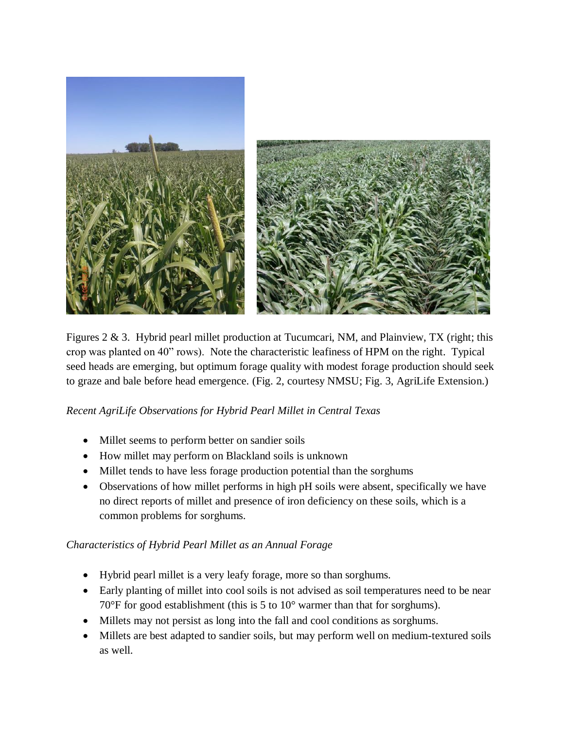

Figures 2 & 3. Hybrid pearl millet production at Tucumcari, NM, and Plainview, TX (right; this crop was planted on 40" rows). Note the characteristic leafiness of HPM on the right. Typical seed heads are emerging, but optimum forage quality with modest forage production should seek to graze and bale before head emergence. (Fig. 2, courtesy NMSU; Fig. 3, AgriLife Extension.)

*Recent AgriLife Observations for Hybrid Pearl Millet in Central Texas*

- Millet seems to perform better on sandier soils
- How millet may perform on Blackland soils is unknown
- Millet tends to have less forage production potential than the sorghums
- Observations of how millet performs in high pH soils were absent, specifically we have no direct reports of millet and presence of iron deficiency on these soils, which is a common problems for sorghums.

## *Characteristics of Hybrid Pearl Millet as an Annual Forage*

- Hybrid pearl millet is a very leafy forage, more so than sorghums.
- Early planting of millet into cool soils is not advised as soil temperatures need to be near 70°F for good establishment (this is 5 to 10° warmer than that for sorghums).
- Millets may not persist as long into the fall and cool conditions as sorghums.
- Millets are best adapted to sandier soils, but may perform well on medium-textured soils as well.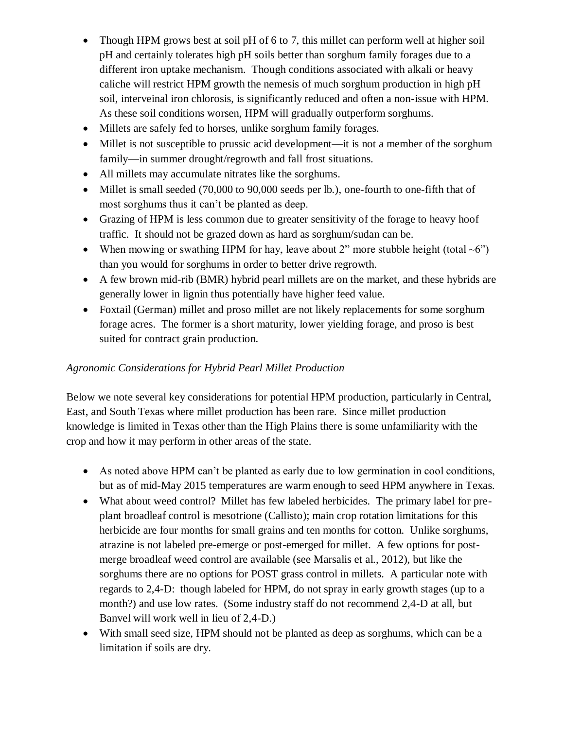- Though HPM grows best at soil pH of 6 to 7, this millet can perform well at higher soil pH and certainly tolerates high pH soils better than sorghum family forages due to a different iron uptake mechanism. Though conditions associated with alkali or heavy caliche will restrict HPM growth the nemesis of much sorghum production in high pH soil, interveinal iron chlorosis, is significantly reduced and often a non-issue with HPM. As these soil conditions worsen, HPM will gradually outperform sorghums.
- Millets are safely fed to horses, unlike sorghum family forages.
- Millet is not susceptible to prussic acid development—it is not a member of the sorghum family—in summer drought/regrowth and fall frost situations.
- All millets may accumulate nitrates like the sorghums.
- Millet is small seeded (70,000 to 90,000 seeds per lb.), one-fourth to one-fifth that of most sorghums thus it can't be planted as deep.
- Grazing of HPM is less common due to greater sensitivity of the forage to heavy hoof traffic. It should not be grazed down as hard as sorghum/sudan can be.
- When mowing or swathing HPM for hay, leave about 2" more stubble height (total  $\sim 6$ ") than you would for sorghums in order to better drive regrowth.
- A few brown mid-rib (BMR) hybrid pearl millets are on the market, and these hybrids are generally lower in lignin thus potentially have higher feed value.
- Foxtail (German) millet and proso millet are not likely replacements for some sorghum forage acres. The former is a short maturity, lower yielding forage, and proso is best suited for contract grain production.

## *Agronomic Considerations for Hybrid Pearl Millet Production*

Below we note several key considerations for potential HPM production, particularly in Central, East, and South Texas where millet production has been rare. Since millet production knowledge is limited in Texas other than the High Plains there is some unfamiliarity with the crop and how it may perform in other areas of the state.

- As noted above HPM can't be planted as early due to low germination in cool conditions, but as of mid-May 2015 temperatures are warm enough to seed HPM anywhere in Texas.
- What about weed control? Millet has few labeled herbicides. The primary label for preplant broadleaf control is mesotrione (Callisto); main crop rotation limitations for this herbicide are four months for small grains and ten months for cotton. Unlike sorghums, atrazine is not labeled pre-emerge or post-emerged for millet. A few options for postmerge broadleaf weed control are available (see Marsalis et al., 2012), but like the sorghums there are no options for POST grass control in millets. A particular note with regards to 2,4-D: though labeled for HPM, do not spray in early growth stages (up to a month?) and use low rates. (Some industry staff do not recommend 2,4-D at all, but Banvel will work well in lieu of 2,4-D.)
- With small seed size, HPM should not be planted as deep as sorghums, which can be a limitation if soils are dry.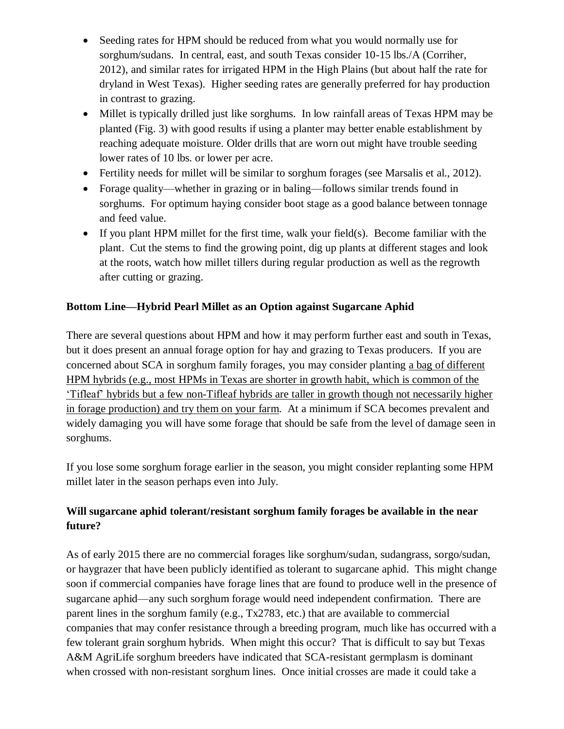- Seeding rates for HPM should be reduced from what you would normally use for sorghum/sudans. In central, east, and south Texas consider 10-15 lbs./A (Corriher, 2012), and similar rates for irrigated HPM in the High Plains (but about half the rate for dryland in West Texas). Higher seeding rates are generally preferred for hay production in contrast to grazing.
- Millet is typically drilled just like sorghums. In low rainfall areas of Texas HPM may be planted (Fig. 3) with good results if using a planter may better enable establishment by reaching adequate moisture. Older drills that are worn out might have trouble seeding lower rates of 10 lbs. or lower per acre.
- Fertility needs for millet will be similar to sorghum forages (see Marsalis et al., 2012).
- Forage quality—whether in grazing or in baling—follows similar trends found in sorghums. For optimum haying consider boot stage as a good balance between tonnage and feed value.
- If you plant HPM millet for the first time, walk your field(s). Become familiar with the plant. Cut the stems to find the growing point, dig up plants at different stages and look at the roots, watch how millet tillers during regular production as well as the regrowth after cutting or grazing.

# **Bottom Line—Hybrid Pearl Millet as an Option against Sugarcane Aphid**

There are several questions about HPM and how it may perform further east and south in Texas, but it does present an annual forage option for hay and grazing to Texas producers. If you are concerned about SCA in sorghum family forages, you may consider planting a bag of different HPM hybrids (e.g., most HPMs in Texas are shorter in growth habit, which is common of the 'Tifleaf' hybrids but a few non-Tifleaf hybrids are taller in growth though not necessarily higher in forage production) and try them on your farm. At a minimum if SCA becomes prevalent and widely damaging you will have some forage that should be safe from the level of damage seen in sorghums.

If you lose some sorghum forage earlier in the season, you might consider replanting some HPM millet later in the season perhaps even into July.

# **Will sugarcane aphid tolerant/resistant sorghum family forages be available in the near future?**

As of early 2015 there are no commercial forages like sorghum/sudan, sudangrass, sorgo/sudan, or haygrazer that have been publicly identified as tolerant to sugarcane aphid. This might change soon if commercial companies have forage lines that are found to produce well in the presence of sugarcane aphid—any such sorghum forage would need independent confirmation. There are parent lines in the sorghum family (e.g., Tx2783, etc.) that are available to commercial companies that may confer resistance through a breeding program, much like has occurred with a few tolerant grain sorghum hybrids. When might this occur? That is difficult to say but Texas A&M AgriLife sorghum breeders have indicated that SCA-resistant germplasm is dominant when crossed with non-resistant sorghum lines. Once initial crosses are made it could take a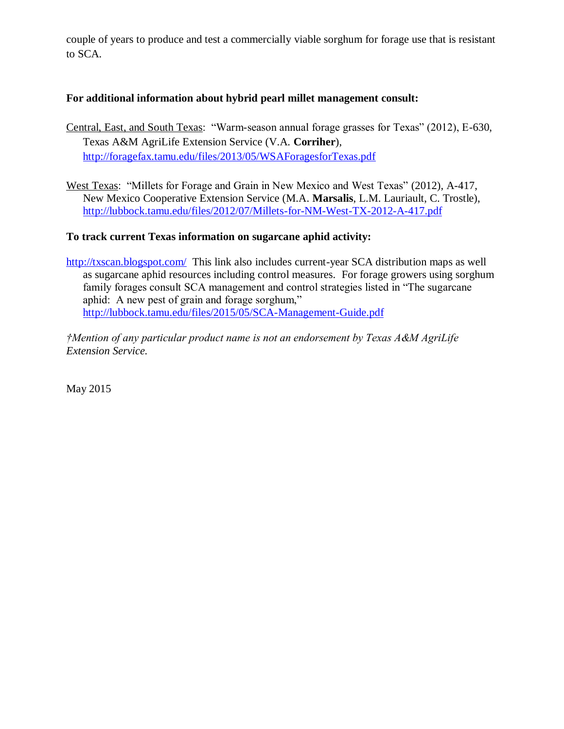couple of years to produce and test a commercially viable sorghum for forage use that is resistant to SCA.

## **For additional information about hybrid pearl millet management consult:**

- Central, East, and South Texas: "Warm-season annual forage grasses for Texas" (2012), E-630, Texas A&M AgriLife Extension Service (V.A. **Corriher**), <http://foragefax.tamu.edu/files/2013/05/WSAForagesforTexas.pdf>
- West Texas: "Millets for Forage and Grain in New Mexico and West Texas" (2012), A-417, New Mexico Cooperative Extension Service (M.A. **Marsalis**, L.M. Lauriault, C. Trostle), <http://lubbock.tamu.edu/files/2012/07/Millets-for-NM-West-TX-2012-A-417.pdf>

### **To track current Texas information on sugarcane aphid activity:**

<http://txscan.blogspot.com/>This link also includes current-year SCA distribution maps as well as sugarcane aphid resources including control measures. For forage growers using sorghum family forages consult SCA management and control strategies listed in "The sugarcane aphid: A new pest of grain and forage sorghum," <http://lubbock.tamu.edu/files/2015/05/SCA-Management-Guide.pdf>

*†Mention of any particular product name is not an endorsement by Texas A&M AgriLife Extension Service.*

May 2015